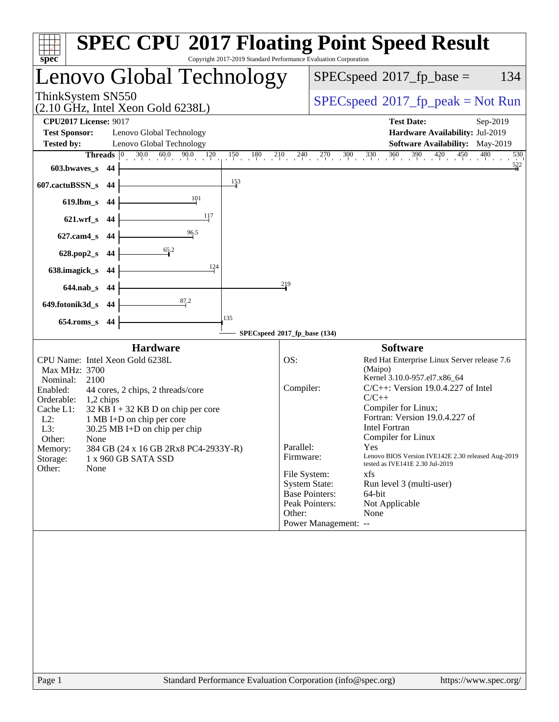| $s\overline{p}\overline{e}\overline{c}$                           |     | <b>SPEC CPU®2017 Floating Point Speed Result</b>                  | Copyright 2017-2019 Standard Performance Evaluation Corporation |                                              |                       |                                                                                       |                       |
|-------------------------------------------------------------------|-----|-------------------------------------------------------------------|-----------------------------------------------------------------|----------------------------------------------|-----------------------|---------------------------------------------------------------------------------------|-----------------------|
|                                                                   |     | Lenovo Global Technology                                          |                                                                 |                                              |                       | $SPEC speed^{\circ}2017$ _fp_base =                                                   | 134                   |
| ThinkSystem SN550                                                 |     | $(2.10 \text{ GHz}, \text{Intel Xeon Gold } 6238L)$               |                                                                 | $SPEC speed^{\circ}2017\_fp\_peak = Not Run$ |                       |                                                                                       |                       |
| <b>CPU2017 License: 9017</b>                                      |     |                                                                   |                                                                 | <b>Test Date:</b>                            | Sep-2019              |                                                                                       |                       |
| <b>Test Sponsor:</b><br><b>Tested by:</b>                         |     | Lenovo Global Technology<br>Lenovo Global Technology              |                                                                 |                                              |                       | Hardware Availability: Jul-2019<br><b>Software Availability:</b> May-2019             |                       |
| Threads                                                           |     | $30.0$ $60.0$ $90.0$ $120$<br>$ 0\rangle$                         |                                                                 |                                              |                       | $150$ $180$ $210$ $240$ $270$ $300$ $330$ $360$ $390$ $420$ $450$ $480$               | 530                   |
| 603.bwaves_s 44                                                   |     |                                                                   |                                                                 |                                              |                       |                                                                                       | 522                   |
| 607.cactuBSSN_s 44                                                |     |                                                                   | 153                                                             |                                              |                       |                                                                                       |                       |
| 619.lbm_s 44                                                      |     | 101                                                               |                                                                 |                                              |                       |                                                                                       |                       |
| 621.wrf_s 44                                                      |     | 117                                                               |                                                                 |                                              |                       |                                                                                       |                       |
| $627$ .cam $4s$                                                   | -44 | 96.5                                                              |                                                                 |                                              |                       |                                                                                       |                       |
| 628.pop2_s                                                        | 44  | 65.2                                                              |                                                                 |                                              |                       |                                                                                       |                       |
| 638.imagick_s                                                     | -44 | 124                                                               |                                                                 |                                              |                       |                                                                                       |                       |
| 644.nab_s 44                                                      |     |                                                                   |                                                                 | 219                                          |                       |                                                                                       |                       |
| 649.fotonik3d_s                                                   | -44 | 87.2                                                              |                                                                 |                                              |                       |                                                                                       |                       |
| $654$ .roms_s                                                     | 44  |                                                                   | 135                                                             |                                              |                       |                                                                                       |                       |
|                                                                   |     |                                                                   | SPECspeed®2017_fp_base (134)                                    |                                              |                       |                                                                                       |                       |
|                                                                   |     | <b>Hardware</b>                                                   |                                                                 |                                              |                       | <b>Software</b>                                                                       |                       |
| CPU Name: Intel Xeon Gold 6238L<br>Max MHz: 3700                  |     |                                                                   |                                                                 | OS:                                          |                       | Red Hat Enterprise Linux Server release 7.6<br>(Maipo)                                |                       |
| Nominal:<br>2100<br>Enabled:<br>44 cores, 2 chips, 2 threads/core |     |                                                                   |                                                                 | Compiler:                                    |                       | Kernel 3.10.0-957.el7.x86_64<br>$C/C++$ : Version 19.0.4.227 of Intel                 |                       |
| Orderable:<br>$1,2$ chips                                         |     |                                                                   |                                                                 |                                              |                       | $C/C++$<br>Compiler for Linux;                                                        |                       |
| Cache L1:<br>$L2$ :                                               |     | $32$ KB I + 32 KB D on chip per core<br>1 MB I+D on chip per core |                                                                 |                                              |                       | Fortran: Version 19.0.4.227 of                                                        |                       |
| L3:<br>Other:                                                     |     | $30.25 \text{ MB I+D}$ on chip per chip                           |                                                                 |                                              |                       | <b>Intel Fortran</b><br>Compiler for Linux                                            |                       |
| None<br>Memory:                                                   |     | 384 GB (24 x 16 GB 2Rx8 PC4-2933Y-R)                              |                                                                 | Parallel:                                    |                       | Yes                                                                                   |                       |
| Storage:<br>Other:<br>None                                        |     | 1 x 960 GB SATA SSD                                               |                                                                 | Firmware:                                    |                       | Lenovo BIOS Version IVE142E 2.30 released Aug-2019<br>tested as IVE141E 2.30 Jul-2019 |                       |
|                                                                   |     |                                                                   |                                                                 | File System:                                 | <b>System State:</b>  | xfs<br>Run level 3 (multi-user)                                                       |                       |
|                                                                   |     |                                                                   |                                                                 |                                              | <b>Base Pointers:</b> | 64-bit                                                                                |                       |
|                                                                   |     |                                                                   |                                                                 | Other:                                       | Peak Pointers:        | Not Applicable<br>None                                                                |                       |
|                                                                   |     |                                                                   |                                                                 |                                              | Power Management: --  |                                                                                       |                       |
|                                                                   |     |                                                                   |                                                                 |                                              |                       |                                                                                       |                       |
|                                                                   |     |                                                                   |                                                                 |                                              |                       |                                                                                       |                       |
|                                                                   |     |                                                                   |                                                                 |                                              |                       |                                                                                       |                       |
|                                                                   |     |                                                                   |                                                                 |                                              |                       |                                                                                       |                       |
|                                                                   |     |                                                                   |                                                                 |                                              |                       |                                                                                       |                       |
|                                                                   |     |                                                                   |                                                                 |                                              |                       |                                                                                       |                       |
|                                                                   |     |                                                                   |                                                                 |                                              |                       |                                                                                       |                       |
|                                                                   |     |                                                                   |                                                                 |                                              |                       |                                                                                       |                       |
| Page 1                                                            |     | Standard Performance Evaluation Corporation (info@spec.org)       |                                                                 |                                              |                       |                                                                                       | https://www.spec.org/ |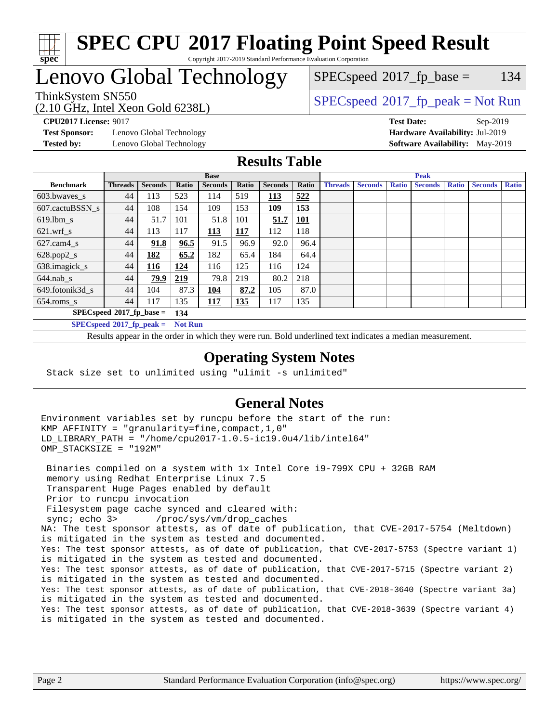

#### **[SPEC CPU](http://www.spec.org/auto/cpu2017/Docs/result-fields.html#SPECCPU2017FloatingPointSpeedResult)[2017 Floating Point Speed Result](http://www.spec.org/auto/cpu2017/Docs/result-fields.html#SPECCPU2017FloatingPointSpeedResult)** Copyright 2017-2019 Standard Performance Evaluation Corporation

# Lenovo Global Technology

 $SPEC speed^{\circ}2017\_fp\_base = 134$ 

#### (2.10 GHz, Intel Xeon Gold 6238L) ThinkSystem SN550<br>  $SPEC speed^{\circ}2017$  [p\_peak = Not Run

**[Test Sponsor:](http://www.spec.org/auto/cpu2017/Docs/result-fields.html#TestSponsor)** Lenovo Global Technology **[Hardware Availability:](http://www.spec.org/auto/cpu2017/Docs/result-fields.html#HardwareAvailability)** Jul-2019 **[Tested by:](http://www.spec.org/auto/cpu2017/Docs/result-fields.html#Testedby)** Lenovo Global Technology **[Software Availability:](http://www.spec.org/auto/cpu2017/Docs/result-fields.html#SoftwareAvailability)** May-2019

**[CPU2017 License:](http://www.spec.org/auto/cpu2017/Docs/result-fields.html#CPU2017License)** 9017 **[Test Date:](http://www.spec.org/auto/cpu2017/Docs/result-fields.html#TestDate)** Sep-2019

### **[Results Table](http://www.spec.org/auto/cpu2017/Docs/result-fields.html#ResultsTable)**

|                             | <b>Base</b>                |                |                |                |            | <b>Peak</b>    |            |                |                |              |                |              |                |              |
|-----------------------------|----------------------------|----------------|----------------|----------------|------------|----------------|------------|----------------|----------------|--------------|----------------|--------------|----------------|--------------|
| <b>Benchmark</b>            | <b>Threads</b>             | <b>Seconds</b> | Ratio          | <b>Seconds</b> | Ratio      | <b>Seconds</b> | Ratio      | <b>Threads</b> | <b>Seconds</b> | <b>Ratio</b> | <b>Seconds</b> | <b>Ratio</b> | <b>Seconds</b> | <b>Ratio</b> |
| 603.bwayes_s                | 44                         | 113            | 523            | 114            | 519        | 113            | 522        |                |                |              |                |              |                |              |
| 607.cactuBSSN s             | 44                         | 108            | 154            | 109            | 153        | 109            | 153        |                |                |              |                |              |                |              |
| $619.$ lbm s                | 44                         | 51.7           | 101            | 51.8           | 101        | 51.7           | <b>101</b> |                |                |              |                |              |                |              |
| $621.wrf$ s                 | 44                         | 113            | 117            | <u> 113</u>    | <u>117</u> | 112            | 118        |                |                |              |                |              |                |              |
| $627$ .cam4 s               | 44                         | 91.8           | 96.5           | 91.5           | 96.9       | 92.0           | 96.4       |                |                |              |                |              |                |              |
| $628.pop2_s$                | 44                         | 182            | 65.2           | 182            | 65.4       | 184            | 64.4       |                |                |              |                |              |                |              |
| 638.imagick_s               | 44                         | 116            | 124            | 116            | 125        | 116            | 124        |                |                |              |                |              |                |              |
| $644$ .nab s                | 44                         | 79.9           | <u>219</u>     | 79.8           | 219        | 80.2           | 218        |                |                |              |                |              |                |              |
| 649.fotonik3d s             | 44                         | 104            | 87.3           | 104            | 87.2       | 105            | 87.0       |                |                |              |                |              |                |              |
| $654$ .roms_s               | 44                         | 117            | 135            | 117            | 135        | 117            | 135        |                |                |              |                |              |                |              |
| $SPECspeed*2017_fp\_base =$ |                            |                | 134            |                |            |                |            |                |                |              |                |              |                |              |
|                             | $SPECspeed*2017$ fp peak = |                | <b>Not Run</b> |                |            |                |            |                |                |              |                |              |                |              |

Results appear in the [order in which they were run.](http://www.spec.org/auto/cpu2017/Docs/result-fields.html#RunOrder) Bold underlined text [indicates a median measurement](http://www.spec.org/auto/cpu2017/Docs/result-fields.html#Median).

#### **[Operating System Notes](http://www.spec.org/auto/cpu2017/Docs/result-fields.html#OperatingSystemNotes)**

Stack size set to unlimited using "ulimit -s unlimited"

#### **[General Notes](http://www.spec.org/auto/cpu2017/Docs/result-fields.html#GeneralNotes)**

Environment variables set by runcpu before the start of the run: KMP\_AFFINITY = "granularity=fine,compact,1,0" LD\_LIBRARY\_PATH = "/home/cpu2017-1.0.5-ic19.0u4/lib/intel64" OMP\_STACKSIZE = "192M"

 Binaries compiled on a system with 1x Intel Core i9-799X CPU + 32GB RAM memory using Redhat Enterprise Linux 7.5 Transparent Huge Pages enabled by default Prior to runcpu invocation Filesystem page cache synced and cleared with: sync; echo 3> /proc/sys/vm/drop\_caches NA: The test sponsor attests, as of date of publication, that CVE-2017-5754 (Meltdown) is mitigated in the system as tested and documented. Yes: The test sponsor attests, as of date of publication, that CVE-2017-5753 (Spectre variant 1) is mitigated in the system as tested and documented. Yes: The test sponsor attests, as of date of publication, that CVE-2017-5715 (Spectre variant 2) is mitigated in the system as tested and documented. Yes: The test sponsor attests, as of date of publication, that CVE-2018-3640 (Spectre variant 3a) is mitigated in the system as tested and documented. Yes: The test sponsor attests, as of date of publication, that CVE-2018-3639 (Spectre variant 4) is mitigated in the system as tested and documented.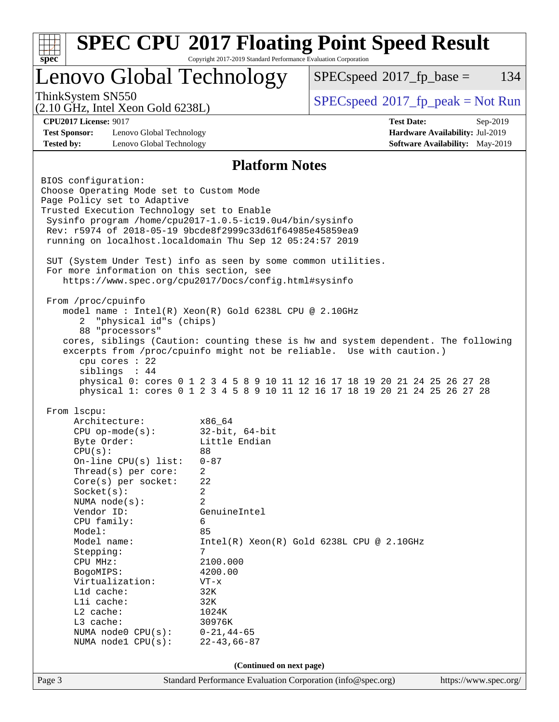| <b>SPEC CPU®2017 Floating Point Speed Result</b><br>Copyright 2017-2019 Standard Performance Evaluation Corporation |                                                     |                                                                                                                       |                                                                                                                                                            |                                 |  |  |
|---------------------------------------------------------------------------------------------------------------------|-----------------------------------------------------|-----------------------------------------------------------------------------------------------------------------------|------------------------------------------------------------------------------------------------------------------------------------------------------------|---------------------------------|--|--|
| spec                                                                                                                |                                                     | Lenovo Global Technology                                                                                              | $SPEC speed^{\circ}2017$ fp base =                                                                                                                         | 134                             |  |  |
| ThinkSystem SN550                                                                                                   | $(2.10 \text{ GHz}, \text{Intel Xeon Gold } 6238L)$ |                                                                                                                       | $SPEC speed^{\circ}2017\_fp\_peak = Not Run$                                                                                                               |                                 |  |  |
| <b>CPU2017 License: 9017</b>                                                                                        |                                                     |                                                                                                                       | <b>Test Date:</b>                                                                                                                                          | Sep-2019                        |  |  |
| Hardware Availability: Jul-2019<br><b>Test Sponsor:</b><br>Lenovo Global Technology                                 |                                                     |                                                                                                                       |                                                                                                                                                            |                                 |  |  |
| <b>Tested by:</b>                                                                                                   | Lenovo Global Technology                            |                                                                                                                       |                                                                                                                                                            | Software Availability: May-2019 |  |  |
|                                                                                                                     |                                                     | <b>Platform Notes</b>                                                                                                 |                                                                                                                                                            |                                 |  |  |
| BIOS configuration:                                                                                                 |                                                     |                                                                                                                       |                                                                                                                                                            |                                 |  |  |
|                                                                                                                     | Choose Operating Mode set to Custom Mode            |                                                                                                                       |                                                                                                                                                            |                                 |  |  |
|                                                                                                                     | Page Policy set to Adaptive                         |                                                                                                                       |                                                                                                                                                            |                                 |  |  |
|                                                                                                                     | Trusted Execution Technology set to Enable          |                                                                                                                       |                                                                                                                                                            |                                 |  |  |
|                                                                                                                     |                                                     | Sysinfo program /home/cpu2017-1.0.5-ic19.0u4/bin/sysinfo<br>Rev: r5974 of 2018-05-19 9bcde8f2999c33d61f64985e45859ea9 |                                                                                                                                                            |                                 |  |  |
|                                                                                                                     |                                                     | running on localhost.localdomain Thu Sep 12 05:24:57 2019                                                             |                                                                                                                                                            |                                 |  |  |
|                                                                                                                     |                                                     |                                                                                                                       |                                                                                                                                                            |                                 |  |  |
|                                                                                                                     |                                                     | SUT (System Under Test) info as seen by some common utilities.                                                        |                                                                                                                                                            |                                 |  |  |
|                                                                                                                     | For more information on this section, see           |                                                                                                                       |                                                                                                                                                            |                                 |  |  |
|                                                                                                                     |                                                     | https://www.spec.org/cpu2017/Docs/config.html#sysinfo                                                                 |                                                                                                                                                            |                                 |  |  |
| From /proc/cpuinfo                                                                                                  |                                                     |                                                                                                                       |                                                                                                                                                            |                                 |  |  |
|                                                                                                                     |                                                     | model name: $Intel(R)$ Xeon $(R)$ Gold 6238L CPU @ 2.10GHz                                                            |                                                                                                                                                            |                                 |  |  |
| 2                                                                                                                   | "physical id"s (chips)                              |                                                                                                                       |                                                                                                                                                            |                                 |  |  |
|                                                                                                                     | 88 "processors"                                     |                                                                                                                       |                                                                                                                                                            |                                 |  |  |
|                                                                                                                     |                                                     |                                                                                                                       | cores, siblings (Caution: counting these is hw and system dependent. The following                                                                         |                                 |  |  |
|                                                                                                                     |                                                     |                                                                                                                       | excerpts from /proc/cpuinfo might not be reliable. Use with caution.)                                                                                      |                                 |  |  |
|                                                                                                                     | cpu cores : 22                                      |                                                                                                                       |                                                                                                                                                            |                                 |  |  |
|                                                                                                                     | siblings : 44                                       |                                                                                                                       |                                                                                                                                                            |                                 |  |  |
|                                                                                                                     |                                                     |                                                                                                                       | physical 0: cores 0 1 2 3 4 5 8 9 10 11 12 16 17 18 19 20 21 24 25 26 27 28<br>physical 1: cores 0 1 2 3 4 5 8 9 10 11 12 16 17 18 19 20 21 24 25 26 27 28 |                                 |  |  |
|                                                                                                                     |                                                     |                                                                                                                       |                                                                                                                                                            |                                 |  |  |
| From lscpu:                                                                                                         |                                                     |                                                                                                                       |                                                                                                                                                            |                                 |  |  |
|                                                                                                                     | Architecture:                                       | x86_64                                                                                                                |                                                                                                                                                            |                                 |  |  |
|                                                                                                                     | $CPU op-mode(s):$                                   | 32-bit, 64-bit                                                                                                        |                                                                                                                                                            |                                 |  |  |
| CPU(s):                                                                                                             | Byte Order:                                         | Little Endian<br>88                                                                                                   |                                                                                                                                                            |                                 |  |  |
|                                                                                                                     | On-line $CPU(s)$ list:                              | $0 - 87$                                                                                                              |                                                                                                                                                            |                                 |  |  |
|                                                                                                                     | Thread( $s$ ) per core:                             | 2                                                                                                                     |                                                                                                                                                            |                                 |  |  |
|                                                                                                                     | Core(s) per socket:                                 | 22                                                                                                                    |                                                                                                                                                            |                                 |  |  |
|                                                                                                                     | Socket(s):                                          | 2                                                                                                                     |                                                                                                                                                            |                                 |  |  |
|                                                                                                                     | NUMA node(s):                                       | 2                                                                                                                     |                                                                                                                                                            |                                 |  |  |
|                                                                                                                     | Vendor ID:                                          | GenuineIntel                                                                                                          |                                                                                                                                                            |                                 |  |  |
|                                                                                                                     | CPU family:                                         | 6                                                                                                                     |                                                                                                                                                            |                                 |  |  |
| Model:                                                                                                              | Model name:                                         | 85                                                                                                                    | $Intel(R) Xeon(R) Gold 6238L CPU @ 2.10GHz$                                                                                                                |                                 |  |  |
| Stepping:                                                                                                           |                                                     | 7                                                                                                                     |                                                                                                                                                            |                                 |  |  |
| CPU MHz:                                                                                                            |                                                     | 2100.000                                                                                                              |                                                                                                                                                            |                                 |  |  |
| BogoMIPS:                                                                                                           |                                                     | 4200.00                                                                                                               |                                                                                                                                                            |                                 |  |  |
|                                                                                                                     | Virtualization:<br>$VT - x$                         |                                                                                                                       |                                                                                                                                                            |                                 |  |  |
|                                                                                                                     | Lld cache:                                          | 32K                                                                                                                   |                                                                                                                                                            |                                 |  |  |
|                                                                                                                     | Lli cache:                                          | 32K                                                                                                                   |                                                                                                                                                            |                                 |  |  |
| L2 cache:<br>L3 cache:                                                                                              |                                                     | 1024K<br>30976K                                                                                                       |                                                                                                                                                            |                                 |  |  |
|                                                                                                                     | NUMA node0 CPU(s):                                  | $0 - 21, 44 - 65$                                                                                                     |                                                                                                                                                            |                                 |  |  |
|                                                                                                                     | NUMA nodel CPU(s):                                  | $22 - 43, 66 - 87$                                                                                                    |                                                                                                                                                            |                                 |  |  |
|                                                                                                                     |                                                     |                                                                                                                       |                                                                                                                                                            |                                 |  |  |
|                                                                                                                     |                                                     | (Continued on next page)                                                                                              |                                                                                                                                                            |                                 |  |  |
| Page 3                                                                                                              |                                                     | Standard Performance Evaluation Corporation (info@spec.org)                                                           |                                                                                                                                                            | https://www.spec.org/           |  |  |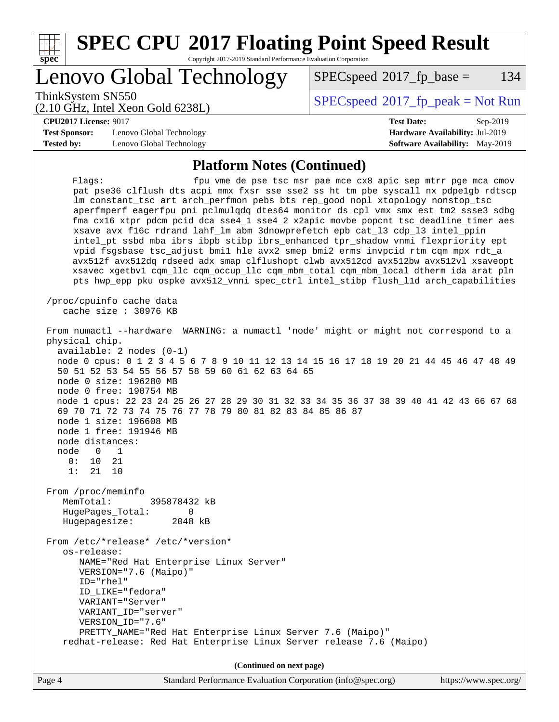

**(Continued on next page)**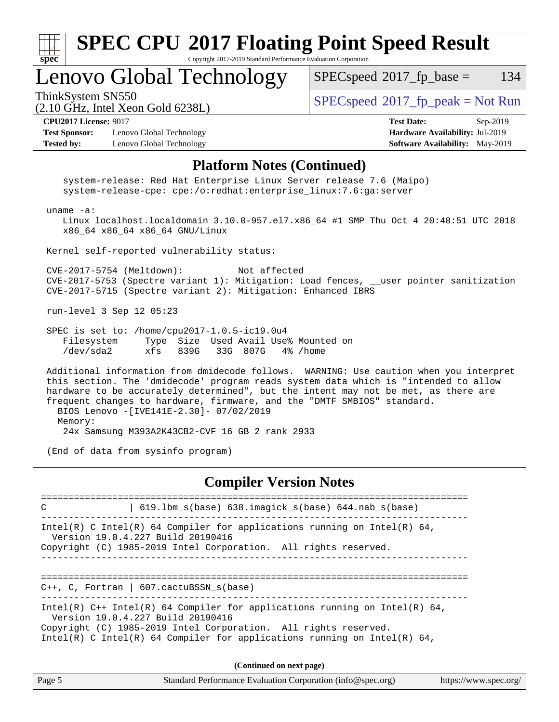| $\frac{1}{\sqrt{2}}$<br>$Spec^*$                       | Copyright 2017-2019 Standard Performance Evaluation Corporation | <b>SPEC CPU®2017 Floating Point Speed Result</b>   |     |
|--------------------------------------------------------|-----------------------------------------------------------------|----------------------------------------------------|-----|
| Lenovo Global Technology                               |                                                                 | $SPEC speed^{\circ}2017\_fp\_base =$               | 134 |
| ThinkSystem SN550<br>(2.10 GHz, Intel Xeon Gold 6238L) |                                                                 | $\text{SPEC speed}^{\circ}2017$ _fp_peak = Not Run |     |

#### $(2.10 \text{ GHz}, \text{Intel Xeon } \omega)$

#### **[CPU2017 License:](http://www.spec.org/auto/cpu2017/Docs/result-fields.html#CPU2017License)** 9017 **[Test Date:](http://www.spec.org/auto/cpu2017/Docs/result-fields.html#TestDate)** Sep-2019

**[Test Sponsor:](http://www.spec.org/auto/cpu2017/Docs/result-fields.html#TestSponsor)** Lenovo Global Technology **[Hardware Availability:](http://www.spec.org/auto/cpu2017/Docs/result-fields.html#HardwareAvailability)** Jul-2019 **[Tested by:](http://www.spec.org/auto/cpu2017/Docs/result-fields.html#Testedby)** Lenovo Global Technology **[Software Availability:](http://www.spec.org/auto/cpu2017/Docs/result-fields.html#SoftwareAvailability)** May-2019

### **[Platform Notes \(Continued\)](http://www.spec.org/auto/cpu2017/Docs/result-fields.html#PlatformNotes)**

 system-release: Red Hat Enterprise Linux Server release 7.6 (Maipo) system-release-cpe: cpe:/o:redhat:enterprise\_linux:7.6:ga:server uname -a: Linux localhost.localdomain 3.10.0-957.el7.x86\_64 #1 SMP Thu Oct 4 20:48:51 UTC 2018 x86\_64 x86\_64 x86\_64 GNU/Linux Kernel self-reported vulnerability status: CVE-2017-5754 (Meltdown): Not affected CVE-2017-5753 (Spectre variant 1): Mitigation: Load fences, \_\_user pointer sanitization CVE-2017-5715 (Spectre variant 2): Mitigation: Enhanced IBRS run-level 3 Sep 12 05:23 SPEC is set to: /home/cpu2017-1.0.5-ic19.0u4 Filesystem Type Size Used Avail Use% Mounted on /dev/sda2 xfs 839G 33G 807G 4% /home Additional information from dmidecode follows. WARNING: Use caution when you interpret this section. The 'dmidecode' program reads system data which is "intended to allow hardware to be accurately determined", but the intent may not be met, as there are frequent changes to hardware, firmware, and the "DMTF SMBIOS" standard. BIOS Lenovo -[IVE141E-2.30]- 07/02/2019 Memory:

24x Samsung M393A2K43CB2-CVF 16 GB 2 rank 2933

(End of data from sysinfo program)

#### **[Compiler Version Notes](http://www.spec.org/auto/cpu2017/Docs/result-fields.html#CompilerVersionNotes)**

============================================================================== C | 619.lbm\_s(base) 638.imagick\_s(base) 644.nab\_s(base) ------------------------------------------------------------------------------ Intel(R) C Intel(R) 64 Compiler for applications running on Intel(R)  $64$ , Version 19.0.4.227 Build 20190416 Copyright (C) 1985-2019 Intel Corporation. All rights reserved. ============================================================================== C++, C, Fortran | 607.cactuBSSN\_s(base) ------------------------------------------------------------------------------ Intel(R) C++ Intel(R) 64 Compiler for applications running on Intel(R) 64, Version 19.0.4.227 Build 20190416 Copyright (C) 1985-2019 Intel Corporation. All rights reserved. Intel(R) C Intel(R) 64 Compiler for applications running on Intel(R)  $64$ ,

**(Continued on next page)**

| Page 5 | Standard Performance Evaluation Corporation (info@spec.org) | https://www.spec.org/ |
|--------|-------------------------------------------------------------|-----------------------|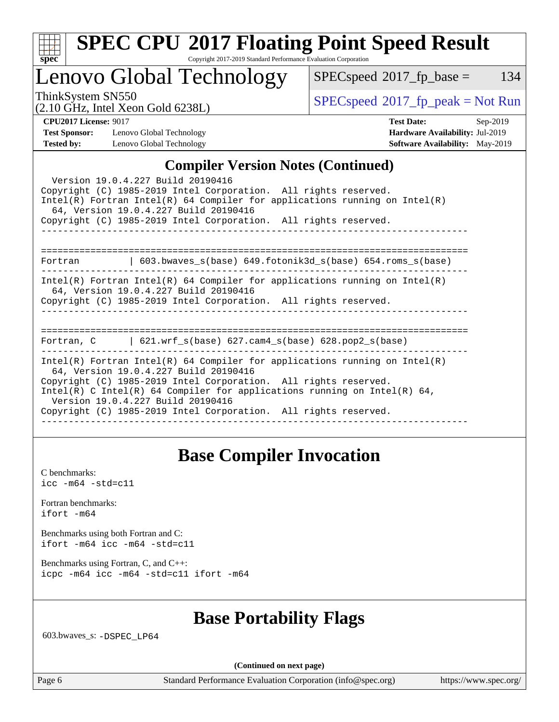| ч<br>e<br>ı.<br>c |  |  |  |  |  |
|-------------------|--|--|--|--|--|

# **[SPEC CPU](http://www.spec.org/auto/cpu2017/Docs/result-fields.html#SPECCPU2017FloatingPointSpeedResult)[2017 Floating Point Speed Result](http://www.spec.org/auto/cpu2017/Docs/result-fields.html#SPECCPU2017FloatingPointSpeedResult)**

Copyright 2017-2019 Standard Performance Evaluation Corporation

Lenovo Global Technology

 $SPECspeed^{\circledcirc}2017_fp\_base = 134$  $SPECspeed^{\circledcirc}2017_fp\_base = 134$ 

(2.10 GHz, Intel Xeon Gold 6238L)

 $SPECspeed^{\circ}2017_fp\_peak = Not Run$  $SPECspeed^{\circ}2017_fp\_peak = Not Run$ 

**[Test Sponsor:](http://www.spec.org/auto/cpu2017/Docs/result-fields.html#TestSponsor)** Lenovo Global Technology **[Hardware Availability:](http://www.spec.org/auto/cpu2017/Docs/result-fields.html#HardwareAvailability)** Jul-2019 **[Tested by:](http://www.spec.org/auto/cpu2017/Docs/result-fields.html#Testedby)** Lenovo Global Technology **[Software Availability:](http://www.spec.org/auto/cpu2017/Docs/result-fields.html#SoftwareAvailability)** May-2019

**[CPU2017 License:](http://www.spec.org/auto/cpu2017/Docs/result-fields.html#CPU2017License)** 9017 **[Test Date:](http://www.spec.org/auto/cpu2017/Docs/result-fields.html#TestDate)** Sep-2019

### **[Compiler Version Notes \(Continued\)](http://www.spec.org/auto/cpu2017/Docs/result-fields.html#CompilerVersionNotes)**

| $\mathbf{C}$ $\mathbf{C}$ $\mathbf{C}$ $\mathbf{C}$ $\mathbf{C}$ $\mathbf{C}$ $\mathbf{C}$ $\mathbf{C}$ $\mathbf{C}$ $\mathbf{C}$ $\mathbf{C}$ $\mathbf{C}$ $\mathbf{C}$ $\mathbf{C}$ $\mathbf{C}$ $\mathbf{C}$ $\mathbf{C}$ $\mathbf{C}$ $\mathbf{C}$ $\mathbf{C}$ $\mathbf{C}$ $\mathbf{C}$ $\mathbf{C}$ $\mathbf{C}$ $\mathbf{$                                         |  |  |  |  |  |
|----------------------------------------------------------------------------------------------------------------------------------------------------------------------------------------------------------------------------------------------------------------------------------------------------------------------------------------------------------------------------|--|--|--|--|--|
| Version 19.0.4.227 Build 20190416<br>Copyright (C) 1985-2019 Intel Corporation. All rights reserved.<br>$Intel(R)$ Fortran Intel(R) 64 Compiler for applications running on Intel(R)<br>64, Version 19.0.4.227 Build 20190416                                                                                                                                              |  |  |  |  |  |
| Copyright (C) 1985-2019 Intel Corporation. All rights reserved.                                                                                                                                                                                                                                                                                                            |  |  |  |  |  |
|                                                                                                                                                                                                                                                                                                                                                                            |  |  |  |  |  |
|                                                                                                                                                                                                                                                                                                                                                                            |  |  |  |  |  |
| Fortran 		   603.bwaves_s(base) 649.fotonik3d_s(base) 654.roms_s(base)                                                                                                                                                                                                                                                                                                     |  |  |  |  |  |
| $Intel(R)$ Fortran Intel(R) 64 Compiler for applications running on Intel(R)<br>64, Version 19.0.4.227 Build 20190416<br>Copyright (C) 1985-2019 Intel Corporation. All rights reserved.                                                                                                                                                                                   |  |  |  |  |  |
| Fortran, C $\vert$ 621.wrf s(base) 627.cam4 s(base) 628.pop2 s(base)                                                                                                                                                                                                                                                                                                       |  |  |  |  |  |
| Intel(R) Fortran Intel(R) 64 Compiler for applications running on Intel(R)<br>64, Version 19.0.4.227 Build 20190416<br>Copyright (C) 1985-2019 Intel Corporation. All rights reserved.<br>Intel(R) C Intel(R) 64 Compiler for applications running on Intel(R) 64,<br>Version 19.0.4.227 Build 20190416<br>Copyright (C) 1985-2019 Intel Corporation. All rights reserved. |  |  |  |  |  |
|                                                                                                                                                                                                                                                                                                                                                                            |  |  |  |  |  |

### **[Base Compiler Invocation](http://www.spec.org/auto/cpu2017/Docs/result-fields.html#BaseCompilerInvocation)**

[C benchmarks](http://www.spec.org/auto/cpu2017/Docs/result-fields.html#Cbenchmarks): [icc -m64 -std=c11](http://www.spec.org/cpu2017/results/res2019q4/cpu2017-20190917-18264.flags.html#user_CCbase_intel_icc_64bit_c11_33ee0cdaae7deeeab2a9725423ba97205ce30f63b9926c2519791662299b76a0318f32ddfffdc46587804de3178b4f9328c46fa7c2b0cd779d7a61945c91cd35)

[Fortran benchmarks](http://www.spec.org/auto/cpu2017/Docs/result-fields.html#Fortranbenchmarks): [ifort -m64](http://www.spec.org/cpu2017/results/res2019q4/cpu2017-20190917-18264.flags.html#user_FCbase_intel_ifort_64bit_24f2bb282fbaeffd6157abe4f878425411749daecae9a33200eee2bee2fe76f3b89351d69a8130dd5949958ce389cf37ff59a95e7a40d588e8d3a57e0c3fd751)

[Benchmarks using both Fortran and C](http://www.spec.org/auto/cpu2017/Docs/result-fields.html#BenchmarksusingbothFortranandC): [ifort -m64](http://www.spec.org/cpu2017/results/res2019q4/cpu2017-20190917-18264.flags.html#user_CC_FCbase_intel_ifort_64bit_24f2bb282fbaeffd6157abe4f878425411749daecae9a33200eee2bee2fe76f3b89351d69a8130dd5949958ce389cf37ff59a95e7a40d588e8d3a57e0c3fd751) [icc -m64 -std=c11](http://www.spec.org/cpu2017/results/res2019q4/cpu2017-20190917-18264.flags.html#user_CC_FCbase_intel_icc_64bit_c11_33ee0cdaae7deeeab2a9725423ba97205ce30f63b9926c2519791662299b76a0318f32ddfffdc46587804de3178b4f9328c46fa7c2b0cd779d7a61945c91cd35)

[Benchmarks using Fortran, C, and C++:](http://www.spec.org/auto/cpu2017/Docs/result-fields.html#BenchmarksusingFortranCandCXX) [icpc -m64](http://www.spec.org/cpu2017/results/res2019q4/cpu2017-20190917-18264.flags.html#user_CC_CXX_FCbase_intel_icpc_64bit_4ecb2543ae3f1412ef961e0650ca070fec7b7afdcd6ed48761b84423119d1bf6bdf5cad15b44d48e7256388bc77273b966e5eb805aefd121eb22e9299b2ec9d9) [icc -m64 -std=c11](http://www.spec.org/cpu2017/results/res2019q4/cpu2017-20190917-18264.flags.html#user_CC_CXX_FCbase_intel_icc_64bit_c11_33ee0cdaae7deeeab2a9725423ba97205ce30f63b9926c2519791662299b76a0318f32ddfffdc46587804de3178b4f9328c46fa7c2b0cd779d7a61945c91cd35) [ifort -m64](http://www.spec.org/cpu2017/results/res2019q4/cpu2017-20190917-18264.flags.html#user_CC_CXX_FCbase_intel_ifort_64bit_24f2bb282fbaeffd6157abe4f878425411749daecae9a33200eee2bee2fe76f3b89351d69a8130dd5949958ce389cf37ff59a95e7a40d588e8d3a57e0c3fd751)

### **[Base Portability Flags](http://www.spec.org/auto/cpu2017/Docs/result-fields.html#BasePortabilityFlags)**

603.bwaves\_s: [-DSPEC\\_LP64](http://www.spec.org/cpu2017/results/res2019q4/cpu2017-20190917-18264.flags.html#suite_basePORTABILITY603_bwaves_s_DSPEC_LP64)

**(Continued on next page)**

Page 6 Standard Performance Evaluation Corporation [\(info@spec.org\)](mailto:info@spec.org) <https://www.spec.org/>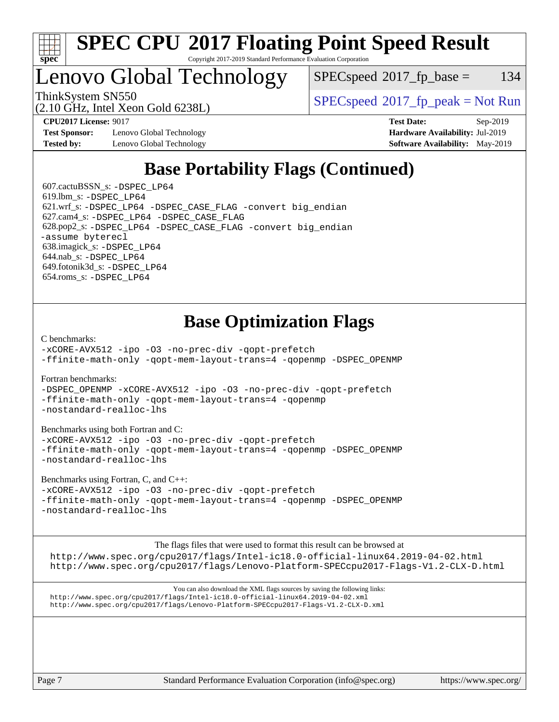

#### **[SPEC CPU](http://www.spec.org/auto/cpu2017/Docs/result-fields.html#SPECCPU2017FloatingPointSpeedResult)[2017 Floating Point Speed Result](http://www.spec.org/auto/cpu2017/Docs/result-fields.html#SPECCPU2017FloatingPointSpeedResult)** Copyright 2017-2019 Standard Performance Evaluation Corporation

# Lenovo Global Technology

 $SPEC speed^{\circ}2017\_fp\_base = 134$ 

ThinkSystem SN550<br>  $SPEC speed^{\circ}2017$  [p\_peak = Not Run

**[Test Sponsor:](http://www.spec.org/auto/cpu2017/Docs/result-fields.html#TestSponsor)** Lenovo Global Technology **[Hardware Availability:](http://www.spec.org/auto/cpu2017/Docs/result-fields.html#HardwareAvailability)** Jul-2019 **[Tested by:](http://www.spec.org/auto/cpu2017/Docs/result-fields.html#Testedby)** Lenovo Global Technology **[Software Availability:](http://www.spec.org/auto/cpu2017/Docs/result-fields.html#SoftwareAvailability)** May-2019

(2.10 GHz, Intel Xeon Gold 6238L)

**[CPU2017 License:](http://www.spec.org/auto/cpu2017/Docs/result-fields.html#CPU2017License)** 9017 **[Test Date:](http://www.spec.org/auto/cpu2017/Docs/result-fields.html#TestDate)** Sep-2019

## **[Base Portability Flags \(Continued\)](http://www.spec.org/auto/cpu2017/Docs/result-fields.html#BasePortabilityFlags)**

 607.cactuBSSN\_s: [-DSPEC\\_LP64](http://www.spec.org/cpu2017/results/res2019q4/cpu2017-20190917-18264.flags.html#suite_basePORTABILITY607_cactuBSSN_s_DSPEC_LP64) 619.lbm\_s: [-DSPEC\\_LP64](http://www.spec.org/cpu2017/results/res2019q4/cpu2017-20190917-18264.flags.html#suite_basePORTABILITY619_lbm_s_DSPEC_LP64) 621.wrf\_s: [-DSPEC\\_LP64](http://www.spec.org/cpu2017/results/res2019q4/cpu2017-20190917-18264.flags.html#suite_basePORTABILITY621_wrf_s_DSPEC_LP64) [-DSPEC\\_CASE\\_FLAG](http://www.spec.org/cpu2017/results/res2019q4/cpu2017-20190917-18264.flags.html#b621.wrf_s_baseCPORTABILITY_DSPEC_CASE_FLAG) [-convert big\\_endian](http://www.spec.org/cpu2017/results/res2019q4/cpu2017-20190917-18264.flags.html#user_baseFPORTABILITY621_wrf_s_convert_big_endian_c3194028bc08c63ac5d04de18c48ce6d347e4e562e8892b8bdbdc0214820426deb8554edfa529a3fb25a586e65a3d812c835984020483e7e73212c4d31a38223) 627.cam4\_s: [-DSPEC\\_LP64](http://www.spec.org/cpu2017/results/res2019q4/cpu2017-20190917-18264.flags.html#suite_basePORTABILITY627_cam4_s_DSPEC_LP64) [-DSPEC\\_CASE\\_FLAG](http://www.spec.org/cpu2017/results/res2019q4/cpu2017-20190917-18264.flags.html#b627.cam4_s_baseCPORTABILITY_DSPEC_CASE_FLAG) 628.pop2\_s: [-DSPEC\\_LP64](http://www.spec.org/cpu2017/results/res2019q4/cpu2017-20190917-18264.flags.html#suite_basePORTABILITY628_pop2_s_DSPEC_LP64) [-DSPEC\\_CASE\\_FLAG](http://www.spec.org/cpu2017/results/res2019q4/cpu2017-20190917-18264.flags.html#b628.pop2_s_baseCPORTABILITY_DSPEC_CASE_FLAG) [-convert big\\_endian](http://www.spec.org/cpu2017/results/res2019q4/cpu2017-20190917-18264.flags.html#user_baseFPORTABILITY628_pop2_s_convert_big_endian_c3194028bc08c63ac5d04de18c48ce6d347e4e562e8892b8bdbdc0214820426deb8554edfa529a3fb25a586e65a3d812c835984020483e7e73212c4d31a38223) [-assume byterecl](http://www.spec.org/cpu2017/results/res2019q4/cpu2017-20190917-18264.flags.html#user_baseFPORTABILITY628_pop2_s_assume_byterecl_7e47d18b9513cf18525430bbf0f2177aa9bf368bc7a059c09b2c06a34b53bd3447c950d3f8d6c70e3faf3a05c8557d66a5798b567902e8849adc142926523472) 638.imagick\_s: [-DSPEC\\_LP64](http://www.spec.org/cpu2017/results/res2019q4/cpu2017-20190917-18264.flags.html#suite_basePORTABILITY638_imagick_s_DSPEC_LP64) 644.nab\_s: [-DSPEC\\_LP64](http://www.spec.org/cpu2017/results/res2019q4/cpu2017-20190917-18264.flags.html#suite_basePORTABILITY644_nab_s_DSPEC_LP64) 649.fotonik3d\_s: [-DSPEC\\_LP64](http://www.spec.org/cpu2017/results/res2019q4/cpu2017-20190917-18264.flags.html#suite_basePORTABILITY649_fotonik3d_s_DSPEC_LP64) 654.roms\_s: [-DSPEC\\_LP64](http://www.spec.org/cpu2017/results/res2019q4/cpu2017-20190917-18264.flags.html#suite_basePORTABILITY654_roms_s_DSPEC_LP64)

## **[Base Optimization Flags](http://www.spec.org/auto/cpu2017/Docs/result-fields.html#BaseOptimizationFlags)**

[C benchmarks](http://www.spec.org/auto/cpu2017/Docs/result-fields.html#Cbenchmarks):

[-xCORE-AVX512](http://www.spec.org/cpu2017/results/res2019q4/cpu2017-20190917-18264.flags.html#user_CCbase_f-xCORE-AVX512) [-ipo](http://www.spec.org/cpu2017/results/res2019q4/cpu2017-20190917-18264.flags.html#user_CCbase_f-ipo) [-O3](http://www.spec.org/cpu2017/results/res2019q4/cpu2017-20190917-18264.flags.html#user_CCbase_f-O3) [-no-prec-div](http://www.spec.org/cpu2017/results/res2019q4/cpu2017-20190917-18264.flags.html#user_CCbase_f-no-prec-div) [-qopt-prefetch](http://www.spec.org/cpu2017/results/res2019q4/cpu2017-20190917-18264.flags.html#user_CCbase_f-qopt-prefetch) [-ffinite-math-only](http://www.spec.org/cpu2017/results/res2019q4/cpu2017-20190917-18264.flags.html#user_CCbase_f_finite_math_only_cb91587bd2077682c4b38af759c288ed7c732db004271a9512da14a4f8007909a5f1427ecbf1a0fb78ff2a814402c6114ac565ca162485bbcae155b5e4258871) [-qopt-mem-layout-trans=4](http://www.spec.org/cpu2017/results/res2019q4/cpu2017-20190917-18264.flags.html#user_CCbase_f-qopt-mem-layout-trans_fa39e755916c150a61361b7846f310bcdf6f04e385ef281cadf3647acec3f0ae266d1a1d22d972a7087a248fd4e6ca390a3634700869573d231a252c784941a8) [-qopenmp](http://www.spec.org/cpu2017/results/res2019q4/cpu2017-20190917-18264.flags.html#user_CCbase_qopenmp_16be0c44f24f464004c6784a7acb94aca937f053568ce72f94b139a11c7c168634a55f6653758ddd83bcf7b8463e8028bb0b48b77bcddc6b78d5d95bb1df2967) [-DSPEC\\_OPENMP](http://www.spec.org/cpu2017/results/res2019q4/cpu2017-20190917-18264.flags.html#suite_CCbase_DSPEC_OPENMP)

[Fortran benchmarks](http://www.spec.org/auto/cpu2017/Docs/result-fields.html#Fortranbenchmarks):

[-DSPEC\\_OPENMP](http://www.spec.org/cpu2017/results/res2019q4/cpu2017-20190917-18264.flags.html#suite_FCbase_DSPEC_OPENMP) [-xCORE-AVX512](http://www.spec.org/cpu2017/results/res2019q4/cpu2017-20190917-18264.flags.html#user_FCbase_f-xCORE-AVX512) [-ipo](http://www.spec.org/cpu2017/results/res2019q4/cpu2017-20190917-18264.flags.html#user_FCbase_f-ipo) [-O3](http://www.spec.org/cpu2017/results/res2019q4/cpu2017-20190917-18264.flags.html#user_FCbase_f-O3) [-no-prec-div](http://www.spec.org/cpu2017/results/res2019q4/cpu2017-20190917-18264.flags.html#user_FCbase_f-no-prec-div) [-qopt-prefetch](http://www.spec.org/cpu2017/results/res2019q4/cpu2017-20190917-18264.flags.html#user_FCbase_f-qopt-prefetch) [-ffinite-math-only](http://www.spec.org/cpu2017/results/res2019q4/cpu2017-20190917-18264.flags.html#user_FCbase_f_finite_math_only_cb91587bd2077682c4b38af759c288ed7c732db004271a9512da14a4f8007909a5f1427ecbf1a0fb78ff2a814402c6114ac565ca162485bbcae155b5e4258871) [-qopt-mem-layout-trans=4](http://www.spec.org/cpu2017/results/res2019q4/cpu2017-20190917-18264.flags.html#user_FCbase_f-qopt-mem-layout-trans_fa39e755916c150a61361b7846f310bcdf6f04e385ef281cadf3647acec3f0ae266d1a1d22d972a7087a248fd4e6ca390a3634700869573d231a252c784941a8) [-qopenmp](http://www.spec.org/cpu2017/results/res2019q4/cpu2017-20190917-18264.flags.html#user_FCbase_qopenmp_16be0c44f24f464004c6784a7acb94aca937f053568ce72f94b139a11c7c168634a55f6653758ddd83bcf7b8463e8028bb0b48b77bcddc6b78d5d95bb1df2967) [-nostandard-realloc-lhs](http://www.spec.org/cpu2017/results/res2019q4/cpu2017-20190917-18264.flags.html#user_FCbase_f_2003_std_realloc_82b4557e90729c0f113870c07e44d33d6f5a304b4f63d4c15d2d0f1fab99f5daaed73bdb9275d9ae411527f28b936061aa8b9c8f2d63842963b95c9dd6426b8a)

[Benchmarks using both Fortran and C](http://www.spec.org/auto/cpu2017/Docs/result-fields.html#BenchmarksusingbothFortranandC):

[-xCORE-AVX512](http://www.spec.org/cpu2017/results/res2019q4/cpu2017-20190917-18264.flags.html#user_CC_FCbase_f-xCORE-AVX512) [-ipo](http://www.spec.org/cpu2017/results/res2019q4/cpu2017-20190917-18264.flags.html#user_CC_FCbase_f-ipo) [-O3](http://www.spec.org/cpu2017/results/res2019q4/cpu2017-20190917-18264.flags.html#user_CC_FCbase_f-O3) [-no-prec-div](http://www.spec.org/cpu2017/results/res2019q4/cpu2017-20190917-18264.flags.html#user_CC_FCbase_f-no-prec-div) [-qopt-prefetch](http://www.spec.org/cpu2017/results/res2019q4/cpu2017-20190917-18264.flags.html#user_CC_FCbase_f-qopt-prefetch) [-ffinite-math-only](http://www.spec.org/cpu2017/results/res2019q4/cpu2017-20190917-18264.flags.html#user_CC_FCbase_f_finite_math_only_cb91587bd2077682c4b38af759c288ed7c732db004271a9512da14a4f8007909a5f1427ecbf1a0fb78ff2a814402c6114ac565ca162485bbcae155b5e4258871) [-qopt-mem-layout-trans=4](http://www.spec.org/cpu2017/results/res2019q4/cpu2017-20190917-18264.flags.html#user_CC_FCbase_f-qopt-mem-layout-trans_fa39e755916c150a61361b7846f310bcdf6f04e385ef281cadf3647acec3f0ae266d1a1d22d972a7087a248fd4e6ca390a3634700869573d231a252c784941a8) [-qopenmp](http://www.spec.org/cpu2017/results/res2019q4/cpu2017-20190917-18264.flags.html#user_CC_FCbase_qopenmp_16be0c44f24f464004c6784a7acb94aca937f053568ce72f94b139a11c7c168634a55f6653758ddd83bcf7b8463e8028bb0b48b77bcddc6b78d5d95bb1df2967) [-DSPEC\\_OPENMP](http://www.spec.org/cpu2017/results/res2019q4/cpu2017-20190917-18264.flags.html#suite_CC_FCbase_DSPEC_OPENMP) [-nostandard-realloc-lhs](http://www.spec.org/cpu2017/results/res2019q4/cpu2017-20190917-18264.flags.html#user_CC_FCbase_f_2003_std_realloc_82b4557e90729c0f113870c07e44d33d6f5a304b4f63d4c15d2d0f1fab99f5daaed73bdb9275d9ae411527f28b936061aa8b9c8f2d63842963b95c9dd6426b8a)

[Benchmarks using Fortran, C, and C++:](http://www.spec.org/auto/cpu2017/Docs/result-fields.html#BenchmarksusingFortranCandCXX)

[-xCORE-AVX512](http://www.spec.org/cpu2017/results/res2019q4/cpu2017-20190917-18264.flags.html#user_CC_CXX_FCbase_f-xCORE-AVX512) [-ipo](http://www.spec.org/cpu2017/results/res2019q4/cpu2017-20190917-18264.flags.html#user_CC_CXX_FCbase_f-ipo) [-O3](http://www.spec.org/cpu2017/results/res2019q4/cpu2017-20190917-18264.flags.html#user_CC_CXX_FCbase_f-O3) [-no-prec-div](http://www.spec.org/cpu2017/results/res2019q4/cpu2017-20190917-18264.flags.html#user_CC_CXX_FCbase_f-no-prec-div) [-qopt-prefetch](http://www.spec.org/cpu2017/results/res2019q4/cpu2017-20190917-18264.flags.html#user_CC_CXX_FCbase_f-qopt-prefetch) [-ffinite-math-only](http://www.spec.org/cpu2017/results/res2019q4/cpu2017-20190917-18264.flags.html#user_CC_CXX_FCbase_f_finite_math_only_cb91587bd2077682c4b38af759c288ed7c732db004271a9512da14a4f8007909a5f1427ecbf1a0fb78ff2a814402c6114ac565ca162485bbcae155b5e4258871) [-qopt-mem-layout-trans=4](http://www.spec.org/cpu2017/results/res2019q4/cpu2017-20190917-18264.flags.html#user_CC_CXX_FCbase_f-qopt-mem-layout-trans_fa39e755916c150a61361b7846f310bcdf6f04e385ef281cadf3647acec3f0ae266d1a1d22d972a7087a248fd4e6ca390a3634700869573d231a252c784941a8) [-qopenmp](http://www.spec.org/cpu2017/results/res2019q4/cpu2017-20190917-18264.flags.html#user_CC_CXX_FCbase_qopenmp_16be0c44f24f464004c6784a7acb94aca937f053568ce72f94b139a11c7c168634a55f6653758ddd83bcf7b8463e8028bb0b48b77bcddc6b78d5d95bb1df2967) [-DSPEC\\_OPENMP](http://www.spec.org/cpu2017/results/res2019q4/cpu2017-20190917-18264.flags.html#suite_CC_CXX_FCbase_DSPEC_OPENMP) [-nostandard-realloc-lhs](http://www.spec.org/cpu2017/results/res2019q4/cpu2017-20190917-18264.flags.html#user_CC_CXX_FCbase_f_2003_std_realloc_82b4557e90729c0f113870c07e44d33d6f5a304b4f63d4c15d2d0f1fab99f5daaed73bdb9275d9ae411527f28b936061aa8b9c8f2d63842963b95c9dd6426b8a)

[The flags files that were used to format this result can be browsed at](tmsearch) <http://www.spec.org/cpu2017/flags/Intel-ic18.0-official-linux64.2019-04-02.html> <http://www.spec.org/cpu2017/flags/Lenovo-Platform-SPECcpu2017-Flags-V1.2-CLX-D.html>

[You can also download the XML flags sources by saving the following links:](tmsearch) <http://www.spec.org/cpu2017/flags/Intel-ic18.0-official-linux64.2019-04-02.xml> <http://www.spec.org/cpu2017/flags/Lenovo-Platform-SPECcpu2017-Flags-V1.2-CLX-D.xml>